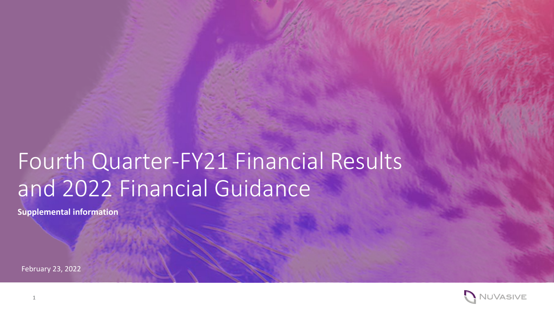# Fourth Quarter-FY21 Financial Results and 2022 Financial Guidance

**Supplemental information** 

February 23, 2022

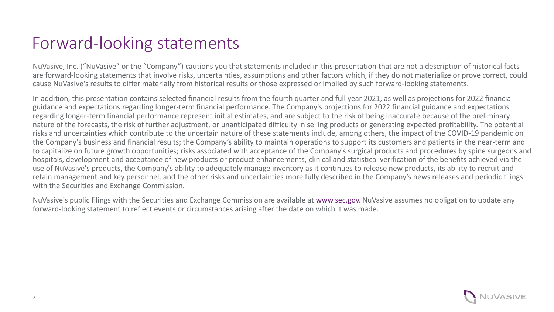### Forward-looking statements

NuVasive, Inc. ("NuVasive" or the "Company") cautions you that statements included in this presentation that are not a description of historical facts are forward-looking statements that involve risks, uncertainties, assumptions and other factors which, if they do not materialize or prove correct, could cause NuVasive's results to differ materially from historical results or those expressed or implied by such forward-looking statements.

In addition, this presentation contains selected financial results from the fourth quarter and full year 2021, as well as projections for 2022 financial guidance and expectations regarding longer-term financial performance. The Company's projections for 2022 financial guidance and expectations regarding longer-term financial performance represent initial estimates, and are subject to the risk of being inaccurate because of the preliminary nature of the forecasts, the risk of further adjustment, or unanticipated difficulty in selling products or generating expected profitability. The potential risks and uncertainties which contribute to the uncertain nature of these statements include, among others, the impact of the COVID-19 pandemic on the Company's business and financial results; the Company's ability to maintain operations to support its customers and patients in the near-term and to capitalize on future growth opportunities; risks associated with acceptance of the Company's surgical products and procedures by spine surgeons and hospitals, development and acceptance of new products or product enhancements, clinical and statistical verification of the benefits achieved via the use of NuVasive's products, the Company's ability to adequately manage inventory as it continues to release new products, its ability to recruit and retain management and key personnel, and the other risks and uncertainties more fully described in the Company's news releases and periodic filings with the Securities and Exchange Commission.

NuVasive's public filings with the Securities and Exchange Commission are available at [www.sec.gov.](http://www.sec.gov/) NuVasive assumes no obligation to update any forward-looking statement to reflect events or circumstances arising after the date on which it was made.

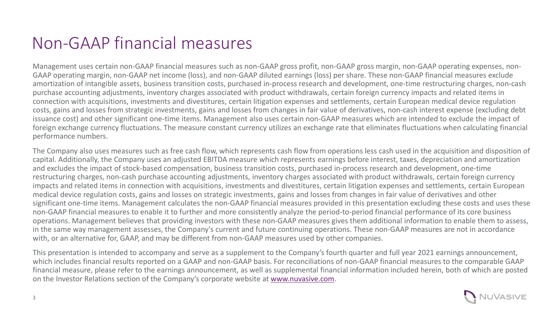#### Non-GAAP financial measures

Management uses certain non-GAAP financial measures such as non-GAAP gross profit, non-GAAP gross margin, non-GAAP operating expenses, non-GAAP operating margin, non-GAAP net income (loss), and non-GAAP diluted earnings (loss) per share. These non-GAAP financial measures exclude amortization of intangible assets, business transition costs, purchased in-process research and development, one-time restructuring charges, non-cash purchase accounting adjustments, inventory charges associated with product withdrawals, certain foreign currency impacts and related items in connection with acquisitions, investments and divestitures, certain litigation expenses and settlements, certain European medical device regulation costs, gains and losses from strategic investments, gains and losses from changes in fair value of derivatives, non-cash interest expense (excluding debt issuance cost) and other significant one-time items. Management also uses certain non-GAAP measures which are intended to exclude the impact of foreign exchange currency fluctuations. The measure constant currency utilizes an exchange rate that eliminates fluctuations when calculating financial performance numbers.

The Company also uses measures such as free cash flow, which represents cash flow from operations less cash used in the acquisition and disposition of capital. Additionally, the Company uses an adjusted EBITDA measure which represents earnings before interest, taxes, depreciation and amortization and excludes the impact of stock-based compensation, business transition costs, purchased in-process research and development, one-time restructuring charges, non-cash purchase accounting adjustments, inventory charges associated with product withdrawals, certain foreign currency impacts and related items in connection with acquisitions, investments and divestitures, certain litigation expenses and settlements, certain European medical device regulation costs, gains and losses on strategic investments, gains and losses from changes in fair value of derivatives and other significant one-time items. Management calculates the non-GAAP financial measures provided in this presentation excluding these costs and uses these non-GAAP financial measures to enable it to further and more consistently analyze the period-to-period financial performance of its core business operations. Management believes that providing investors with these non-GAAP measures gives them additional information to enable them to assess, in the same way management assesses, the Company's current and future continuing operations. These non-GAAP measures are not in accordance with, or an alternative for, GAAP, and may be different from non-GAAP measures used by other companies.

This presentation is intended to accompany and serve as a supplement to the Company's fourth quarter and full year 2021 earnings announcement, which includes financial results reported on a GAAP and non-GAAP basis. For reconciliations of non-GAAP financial measures to the comparable GAAP financial measure, please refer to the earnings announcement, as well as supplemental financial information included herein, both of which are posted on the Investor Relations section of the Company's corporate website at [www.nuvasive.com](http://www.nuvasive.com/).

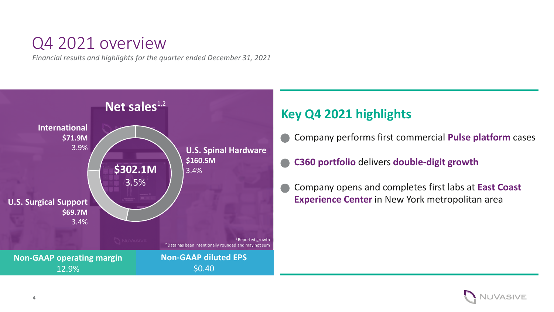#### Q4 2021 overview

*Financial results and highlights for the quarter ended December 31, 2021*



#### **Key Q4 2021 highlights**

- Company performs first commercial **Pulse platform** cases
- **C360 portfolio** delivers **double-digit growth**
- Company opens and completes first labs at **East Coast Experience Center** in New York metropolitan area

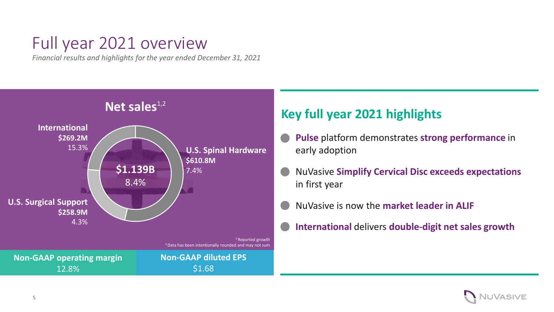#### Full year 2021 overview

*Financial results and highlights for the year ended December 31, 2021*



#### **Key full year 2021 highlights**

- **Pulse** platform demonstrates **strong performance** in early adoption
- NuVasive **Simplify Cervical Disc exceeds expectations**  in first year
- NuVasive is now the **market leader in ALIF**
- **International** delivers **double-digit net sales growth**

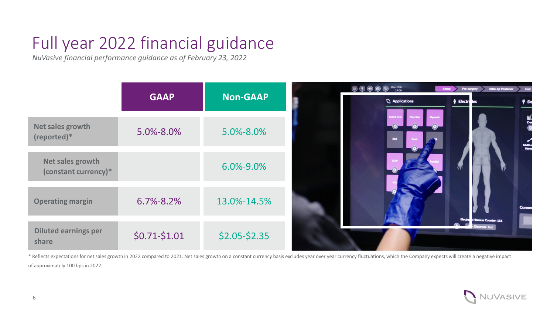# Full year 2022 financial guidance

*NuVasive financial performance guidance as of February 23, 2022*

|                                          |                 |                 | May 18th<br>$\circledcirc$       | Setup<br>Pre-surgery                                 | Intra-op Posterior<br>End  |
|------------------------------------------|-----------------|-----------------|----------------------------------|------------------------------------------------------|----------------------------|
|                                          | <b>GAAP</b>     | <b>Non-GAAP</b> | Applications                     | $\phi$ Electro les                                   |                            |
| Net sales growth<br>(reported)*          | 5.0%-8.0%       | 5.0%-8.0%       | <b>Twitch Tes</b><br><b>XLIF</b> |                                                      | ER<br>Sa<br>Multi-<br>Harn |
| Net sales growth<br>(constant currency)* |                 | 6.0%-9.0%       |                                  |                                                      |                            |
| <b>Operating margin</b>                  | $6.7\% - 8.2\%$ | 13.0%-14.5%     |                                  |                                                      | <b>Conne</b>               |
| <b>Diluted earnings per</b><br>share     | $$0.71-$1.01$   | $$2.05 - $2.35$ |                                  | <b>Harness Counter: 116</b><br><b>Electrode Test</b> |                            |

\* Reflects expectations for net sales growth in 2022 compared to 2021. Net sales growth on a constant currency basis excludes year over year currency fluctuations, which the Company expects will create a negative impact of approximately 100 bps in 2022.

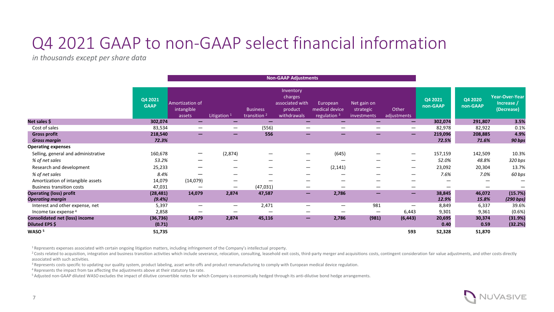#### Q4 2021 GAAP to non-GAAP select financial information

*in thousands except per share data* 

|                                       |                        | <b>Non-GAAP Adjustments</b>             |                          |                                            |                                                                   |                                                       |                                         |                                 |                     |                     |                                                   |
|---------------------------------------|------------------------|-----------------------------------------|--------------------------|--------------------------------------------|-------------------------------------------------------------------|-------------------------------------------------------|-----------------------------------------|---------------------------------|---------------------|---------------------|---------------------------------------------------|
|                                       | Q4 2021<br><b>GAAP</b> | Amortization of<br>intangible<br>assets | Litigation <sup>1</sup>  | <b>Business</b><br>transition <sup>2</sup> | Inventory<br>charges<br>associated with<br>product<br>withdrawals | European<br>medical device<br>regulation <sup>3</sup> | Net gain on<br>strategic<br>investments | Other<br>adjustments            | Q4 2021<br>non-GAAP | Q4 2020<br>non-GAAP | <b>Year-Over-Year</b><br>Increase /<br>(Decrease) |
| Net sales \$                          | 302,074                | $-$                                     | $\overline{\phantom{0}}$ | -                                          | -                                                                 | –                                                     | $\overline{\phantom{0}}$                | $\overline{\phantom{0}}$        | 302,074             | 291,807             | 3.5%                                              |
| Cost of sales                         | 83,534                 | $\overline{\phantom{0}}$                | $\overline{\phantom{m}}$ | (556)                                      |                                                                   | $\overline{\phantom{0}}$                              | $\overline{\phantom{m}}$                | $\overline{\phantom{m}}$        | 82,978              | 82,922              | 0.1%                                              |
| <b>Gross profit</b>                   | 218,540                | $\overline{\phantom{0}}$                | $-$                      | 556                                        | -                                                                 | $\qquad \qquad \longleftarrow$                        |                                         | $\overline{\phantom{m}}$        | 219,096             | 208,885             | 4.9%                                              |
| <b>Gross margin</b>                   | 72.3%                  |                                         |                          |                                            |                                                                   |                                                       |                                         |                                 | 72.5%               | 71.6%               | 90 bps                                            |
| <b>Operating expenses</b>             |                        |                                         |                          |                                            |                                                                   |                                                       |                                         |                                 |                     |                     |                                                   |
| Selling, general and administrative   | 160,678                | $\overline{\phantom{0}}$                | (2,874)                  | $\hspace{0.1mm}-\hspace{0.1mm}$            | $\hspace{0.05cm}$                                                 | (645)                                                 | $\overline{\phantom{0}}$                | $\overline{\phantom{m}}$        | 157,159             | 142,509             | 10.3%                                             |
| % of net sales                        | 53.2%                  |                                         |                          |                                            | —                                                                 |                                                       | —                                       | $\hspace{0.1mm}-\hspace{0.1mm}$ | 52.0%               | 48.8%               | 320 bps                                           |
| Research and development              | 25,233                 | $\overline{\phantom{0}}$                | $\overline{\phantom{m}}$ | $\overline{\phantom{m}}$                   | $\overline{\phantom{m}}$                                          | (2, 141)                                              | $\overline{\phantom{0}}$                | $\overline{\phantom{m}}$        | 23,092              | 20,304              | 13.7%                                             |
| % of net sales                        | 8.4%                   |                                         | $\overline{\phantom{0}}$ | $\overline{\phantom{m}}$                   |                                                                   |                                                       | $\overline{\phantom{m}}$                | $\overline{\phantom{0}}$        | 7.6%                | 7.0%                | 60 bps                                            |
| Amortization of intangible assets     | 14,079                 | (14,079)                                | $\overline{\phantom{m}}$ |                                            |                                                                   | $\overline{\phantom{m}}$                              | $\overline{\phantom{m}}$                | $\overline{\phantom{m}}$        |                     |                     |                                                   |
| <b>Business transition costs</b>      | 47,031                 |                                         | $\overline{\phantom{m}}$ | (47, 031)                                  | $\overline{\phantom{m}}$                                          |                                                       | $\overline{\phantom{m}}$                | $\overline{\phantom{0}}$        |                     |                     |                                                   |
| <b>Operating (loss) profit</b>        | (28, 481)              | 14,079                                  | 2,874                    | 47,587                                     | $\overline{\phantom{m}}$                                          | 2,786                                                 | $\overline{\phantom{0}}$                | $\qquad \qquad \blacksquare$    | 38,845              | 46,072              | (15.7%)                                           |
| <b>Operating margin</b>               | (9.4%)                 |                                         |                          |                                            |                                                                   |                                                       |                                         |                                 | 12.9%               | 15.8%               | (290 bps)                                         |
| Interest and other expense, net       | 5,397                  |                                         | $\overline{\phantom{m}}$ | 2,471                                      | —                                                                 | $\overline{\phantom{0}}$                              | 981                                     |                                 | 8,849               | 6,337               | 39.6%                                             |
| Income tax expense 4                  | 2,858                  |                                         | $\overline{\phantom{0}}$ | $\hspace{0.1mm}-\hspace{0.1mm}$            | —                                                                 |                                                       | $\overline{\phantom{m}}$                | 6,443                           | 9,301               | 9,361               | (0.6% )                                           |
| <b>Consolidated net (loss) income</b> | (36, 736)              | 14,079                                  | 2,874                    | 45,116                                     | $\qquad \qquad \longleftarrow$                                    | 2,786                                                 | (981)                                   | (6, 443)                        | 20,695              | 30,374              | (31.9%)                                           |
| Diluted EPS \$                        | (0.71)                 |                                         |                          |                                            |                                                                   |                                                       |                                         |                                 | 0.40                | 0.59                | (32.2%)                                           |
| WASO <sup>5</sup>                     | 51,735                 |                                         |                          |                                            |                                                                   |                                                       |                                         | 593                             | 52,328              | 51,870              |                                                   |

<sup>1</sup> Represents expenses associated with certain ongoing litigation matters, including infringement of the Company's intellectual property.

<sup>2</sup> Costs related to acquisition, integration and business transition activities which include severance, relocation, consulting, leasehold exit costs, third-party merger and acquisitions costs, contingent consideration fa associated with such activities.

<sup>3</sup> Represents costs specific to updating our quality system, product labeling, asset write-offs and product remanufacturing to comply with European medical device regulation.

4 Represents the impact from tax affecting the adjustments above at their statutory tax rate.

<sup>5</sup> Adjusted non-GAAP diluted WASO excludes the impact of dilutive convertible notes for which Company is economically hedged through its anti-dilutive bond hedge arrangements.

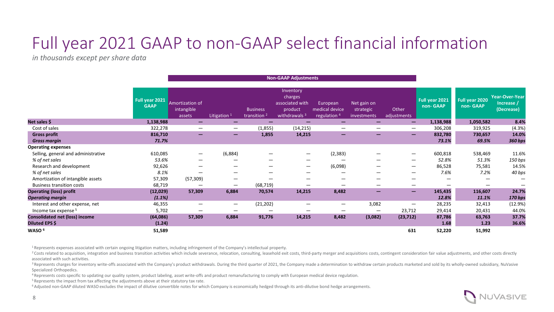#### Full year 2021 GAAP to non-GAAP select financial information

*in thousands except per share data* 

|                                       |                               |                                         |                          | <b>Non-GAAP Adjustments</b>                |                                                                                |                                                       |                                         |                          |                            |                            |                                            |
|---------------------------------------|-------------------------------|-----------------------------------------|--------------------------|--------------------------------------------|--------------------------------------------------------------------------------|-------------------------------------------------------|-----------------------------------------|--------------------------|----------------------------|----------------------------|--------------------------------------------|
|                                       | Full year 2021<br><b>GAAP</b> | Amortization of<br>intangible<br>assets | Litigation <sup>1</sup>  | <b>Business</b><br>transition <sup>2</sup> | Inventory<br>charges<br>associated with<br>product<br>withdrawals <sup>3</sup> | European<br>medical device<br>regulation <sup>4</sup> | Net gain on<br>strategic<br>investments | Other<br>adjustments     | Full year 2021<br>non-GAAP | Full year 2020<br>non-GAAP | Year-Over-Year<br>Increase /<br>(Decrease) |
| Net sales \$                          | 1,138,988                     | —                                       |                          |                                            |                                                                                |                                                       | –                                       | $\overline{\phantom{0}}$ | 1,138,988                  | 1,050,582                  | 8.4%                                       |
| Cost of sales                         | 322,278                       | $\overline{\phantom{m}}$                | $\overline{\phantom{m}}$ | (1,855)                                    | (14, 215)                                                                      | $\overline{\phantom{0}}$                              | $\overline{\phantom{0}}$                | $\overline{\phantom{m}}$ | 306,208                    | 319,925                    | (4.3%)                                     |
| <b>Gross profit</b>                   | 816,710                       |                                         | $\overline{\phantom{0}}$ | 1,855                                      | 14,215                                                                         | $\overline{\phantom{0}}$                              | $\overline{\phantom{0}}$                | $\overline{\phantom{0}}$ | 832,780                    | 730,657                    | 14.0%                                      |
| <b>Gross margin</b>                   | 71.7%                         |                                         |                          |                                            |                                                                                |                                                       |                                         |                          | 73.1%                      | 69.5%                      | 360 bps                                    |
| <b>Operating expenses</b>             |                               |                                         |                          |                                            |                                                                                |                                                       |                                         |                          |                            |                            |                                            |
| Selling, general and administrative   | 610,085                       | $\overline{\phantom{m}}$                | (6,884)                  |                                            |                                                                                | (2, 383)                                              | —                                       | $\overline{\phantom{m}}$ | 600,818                    | 538,469                    | 11.6%                                      |
| % of net sales                        | 53.6%                         | $\overline{\phantom{0}}$                |                          |                                            | –                                                                              |                                                       |                                         |                          | 52.8%                      | 51.3%                      | 150 bps                                    |
| Research and development              | 92,626                        |                                         |                          |                                            | $\hspace{0.05cm}$                                                              | (6,098)                                               | —                                       | $\overline{\phantom{m}}$ | 86,528                     | 75,581                     | 14.5%                                      |
| % of net sales                        | 8.1%                          |                                         |                          |                                            | –                                                                              |                                                       | —                                       |                          | 7.6%                       | 7.2%                       | 40 bps                                     |
| Amortization of intangible assets     | 57,309                        | (57, 309)                               |                          |                                            |                                                                                |                                                       | –                                       |                          |                            |                            |                                            |
| <b>Business transition costs</b>      | 68,719                        |                                         |                          | (68, 719)                                  |                                                                                |                                                       | —                                       |                          |                            |                            |                                            |
| <b>Operating (loss) profit</b>        | (12,029)                      | 57,309                                  | 6,884                    | 70,574                                     | 14,215                                                                         | 8,482                                                 | $\overline{\phantom{0}}$                | $\overline{\phantom{0}}$ | 145,435                    | 116,607                    | 24.7%                                      |
| <b>Operating margin</b>               | (1.1%)                        |                                         |                          |                                            |                                                                                |                                                       |                                         |                          | 12.8%                      | 11.1%                      | 170 bps                                    |
| Interest and other expense, net       | 46,355                        | $\overline{\phantom{m}}$                | $\overline{\phantom{m}}$ | (21, 202)                                  | –                                                                              | $\hspace{0.1mm}-\hspace{0.1mm}$                       | 3,082                                   |                          | 28,235                     | 32,413                     | (12.9%)                                    |
| Income tax expense 5                  | 5,702                         |                                         |                          |                                            |                                                                                |                                                       | $\overline{\phantom{0}}$                | 23,712                   | 29,414                     | 20,431                     | 44.0%                                      |
| <b>Consolidated net (loss) income</b> | (64, 086)                     | 57,309                                  | 6,884                    | 91,776                                     | 14,215                                                                         | 8,482                                                 | (3,082)                                 | (23, 712)                | 87,786                     | 63,763                     | 37.7%                                      |
| Diluted EPS \$                        | (1.24)                        |                                         |                          |                                            |                                                                                |                                                       |                                         |                          | 1.68                       | 1.23                       | 36.6%                                      |
| WASO <sup>6</sup>                     | 51,589                        |                                         |                          |                                            |                                                                                |                                                       |                                         | 631                      | 52,220                     | 51,992                     |                                            |

1 Represents expenses associated with certain ongoing litigation matters, including infringement of the Company's intellectual property.

<sup>2</sup> Costs related to acquisition, integration and business transition activities which include severance, relocation, consulting, leasehold exit costs, third-party merger and acquisitions costs, contingent consideration fa associated with such activities.

<sup>3</sup> Represents charges for inventory write-offs associated with the Company's product withdrawals. During the third quarter of 2021, the Company made a determination to withdraw certain products marketed and sold by its wh Specialized Orthopedics.

4 Represents costs specific to updating our quality system, product labeling, asset write-offs and product remanufacturing to comply with European medical device regulation.

<sup>5</sup> Represents the impact from tax affecting the adjustments above at their statutory tax rate.

<sup>6</sup> Adjusted non-GAAP diluted WASO excludes the impact of dilutive convertible notes for which Company is economically hedged through its anti-dilutive bond hedge arrangements.

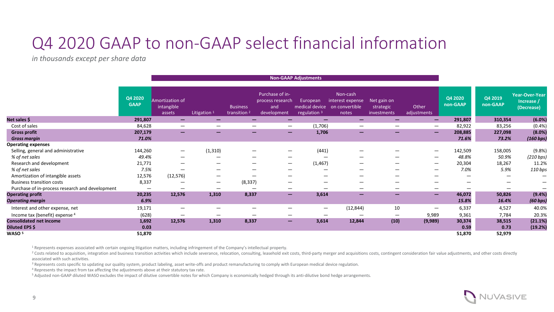#### Q4 2020 GAAP to non-GAAP select financial information

*in thousands except per share data* 

|                                                 |                        | <b>Non-GAAP Adjustments</b>             |                          |                                            |                                                           |                                              |                                                         |                                         |                          |                                   |                          |                                                   |
|-------------------------------------------------|------------------------|-----------------------------------------|--------------------------|--------------------------------------------|-----------------------------------------------------------|----------------------------------------------|---------------------------------------------------------|-----------------------------------------|--------------------------|-----------------------------------|--------------------------|---------------------------------------------------|
|                                                 | Q4 2020<br><b>GAAP</b> | Amortization of<br>intangible<br>assets | Litigation $1$           | <b>Business</b><br>transition <sup>2</sup> | Purchase of in-<br>process research<br>and<br>development | European<br>medical device<br>regulation $3$ | Non-cash<br>interest expense<br>on convertible<br>notes | Net gain on<br>strategic<br>investments | Other<br>adjustments     | Q4 2020<br>non-GAAP               | Q4 2019<br>non-GAAP      | <b>Year-Over-Year</b><br>Increase /<br>(Decrease) |
| Net sales \$                                    | 291,807                | $\overline{\phantom{0}}$                |                          | $\overline{\phantom{0}}$                   | $\overline{\phantom{0}}$                                  | -                                            | -                                                       | -                                       | $\overline{\phantom{m}}$ | 291,807                           | 310,354                  | (6.0%)                                            |
| Cost of sales                                   | 84,628                 | $\overline{\phantom{0}}$                | $\overline{\phantom{m}}$ | $\overline{\phantom{0}}$                   | $\qquad \qquad \overline{\qquad \qquad }$                 | (1,706)                                      | $\overline{\phantom{m}}$                                | $\overline{\phantom{0}}$                | $\overline{\phantom{0}}$ | 82,922                            | 83,256                   | (0.4%                                             |
| <b>Gross profit</b>                             | 207,179                | $\overline{\phantom{m}}$                | $\overline{\phantom{m}}$ | $\overline{\phantom{m}}$                   | $-$                                                       | 1,706                                        | $\qquad \qquad -$                                       | $-$                                     | $\overline{\phantom{m}}$ | 208,885                           | 227,098                  | (8.0%)                                            |
| <b>Gross margin</b>                             | 71.0%                  |                                         |                          |                                            |                                                           |                                              |                                                         |                                         |                          | 71.6%                             | 73.2%                    | (160 bps)                                         |
| <b>Operating expenses</b>                       |                        |                                         |                          |                                            |                                                           |                                              |                                                         |                                         |                          |                                   |                          |                                                   |
| Selling, general and administrative             | 144,260                | $\overline{\phantom{m}}$                | (1, 310)                 |                                            |                                                           | (441)                                        |                                                         |                                         | $\overline{\phantom{0}}$ | 142,509                           | 158,005                  | (9.8%                                             |
| % of net sales                                  | 49.4%                  |                                         |                          |                                            |                                                           |                                              |                                                         |                                         | $\overline{\phantom{m}}$ | 48.8%                             | 50.9%                    | (210 bps)                                         |
| Research and development                        | 21,771                 | $\overline{\phantom{m}}$                | $\overline{\phantom{0}}$ |                                            | $\overline{\phantom{m}}$                                  | (1, 467)                                     | $\qquad \qquad \qquad$                                  |                                         | $\overline{\phantom{0}}$ | 20,304                            | 18,267                   | 11.2%                                             |
| % of net sales                                  | 7.5%                   | $\overline{\phantom{0}}$                | $\overline{\phantom{0}}$ |                                            | $\overline{\phantom{m}}$                                  |                                              |                                                         | —                                       |                          | 7.0%<br>$\overline{\phantom{m}}$  | 5.9%                     | 110 bps                                           |
| Amortization of intangible assets               | 12,576                 | (12, 576)                               | $\overline{\phantom{0}}$ |                                            | $\overline{\phantom{m}}$                                  | $\hspace{0.05cm}$                            | $\overline{\phantom{0}}$                                |                                         |                          | $\overline{\phantom{0}}$          | $\overline{\phantom{m}}$ |                                                   |
| <b>Business transition costs</b>                | 8,337                  |                                         | $\overline{\phantom{m}}$ | (8, 337)                                   | $\overline{\phantom{m}}$                                  | $\hspace{0.05cm}$                            |                                                         | —                                       |                          |                                   | —                        |                                                   |
| Purchase of in-process research and development |                        |                                         | $\overline{\phantom{m}}$ |                                            |                                                           |                                              |                                                         |                                         |                          |                                   | —                        |                                                   |
| <b>Operating profit</b>                         | 20,235                 | 12,576                                  | 1,310                    | 8,337                                      | $\overline{\phantom{0}}$                                  | 3,614                                        | -                                                       | -                                       |                          | 46,072<br>$-$                     | 50,826                   | (9.4%)                                            |
| Operating margin                                | 6.9%                   |                                         |                          |                                            |                                                           |                                              |                                                         |                                         |                          | 15.8%                             | 16.4%                    | (60 bps)                                          |
| Interest and other expense, net                 | 19,171                 | $\overline{\phantom{m}}$                | $\hspace{0.05cm}$        |                                            |                                                           | $\overline{\phantom{0}}$                     | (12, 844)                                               | 10                                      |                          | 6,337<br>$\overline{\phantom{0}}$ | 4,527                    | 40.0%                                             |
| Income tax (benefit) expense 4                  | (628)                  | $\overline{\phantom{m}}$                | $\overline{\phantom{0}}$ | $\overline{\phantom{0}}$                   | $\overline{\phantom{m}}$                                  | $\qquad \qquad -$                            | $\overline{\phantom{0}}$                                | $\hspace{0.1mm}-\hspace{0.1mm}$         | 9,989                    | 9,361                             | 7,784                    | 20.3%                                             |
| <b>Consolidated net income</b>                  | 1,692                  | 12,576                                  | 1,310                    | 8,337                                      | $\overline{\phantom{0}}$                                  | 3,614                                        | 12,844                                                  | (10)                                    | (9,989)                  | 30,374                            | 38,515                   | (21.1%)                                           |
| Diluted EPS \$                                  | 0.03                   |                                         |                          |                                            |                                                           |                                              |                                                         |                                         |                          | 0.59                              | 0.73                     | (19.2%)                                           |
| WASO 5                                          | 51,870                 |                                         |                          |                                            |                                                           |                                              |                                                         |                                         |                          | 51,870                            | 52,979                   |                                                   |

<sup>1</sup> Represents expenses associated with certain ongoing litigation matters, including infringement of the Company's intellectual property.

<sup>2</sup> Costs related to acquisition, integration and business transition activities which include severance, relocation, consulting, leasehold exit costs, third-party merger and acquisitions costs, contingent consideration fa associated with such activities.

<sup>3</sup> Represents costs specific to updating our quality system, product labeling, asset write-offs and product remanufacturing to comply with European medical device regulation.

<sup>4</sup> Represents the impact from tax affecting the adjustments above at their statutory tax rate.

<sup>5</sup> Adjusted non-GAAP diluted WASO excludes the impact of dilutive convertible notes for which Company is economically hedged through its anti-dilutive bond hedge arrangements.

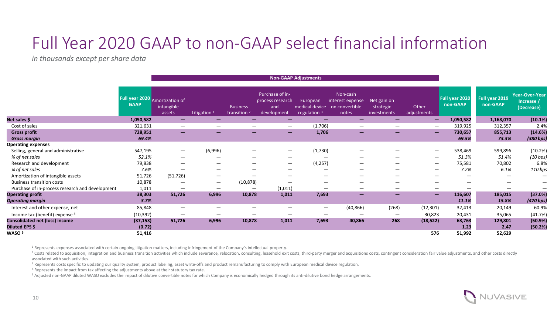#### Full Year 2020 GAAP to non-GAAP select financial information

*in thousands except per share data* 

|                                                 |                                               | <b>Non-GAAP Adjustments</b>             |                          |                                            |                                                           |                                                       |                                                         |                                         |                          |                                           |                            |                                                   |
|-------------------------------------------------|-----------------------------------------------|-----------------------------------------|--------------------------|--------------------------------------------|-----------------------------------------------------------|-------------------------------------------------------|---------------------------------------------------------|-----------------------------------------|--------------------------|-------------------------------------------|----------------------------|---------------------------------------------------|
|                                                 | Full year 2020 Amortization of<br><b>GAAP</b> | intangible<br>assets                    | Litigation <sup>1</sup>  | <b>Business</b><br>transition <sup>2</sup> | Purchase of in-<br>process research<br>and<br>development | European<br>medical device<br>regulation <sup>3</sup> | Non-cash<br>interest expense<br>on convertible<br>notes | Net gain on<br>strategic<br>investments | Other<br>adjustments     | Full year 2020<br>non-GAAP                | Full year 2019<br>non-GAAP | <b>Year-Over-Year</b><br>Increase /<br>(Decrease) |
| Net sales \$                                    | 1,050,582                                     | $\overline{\phantom{0}}$                |                          |                                            |                                                           |                                                       | -                                                       |                                         | $\overline{\phantom{m}}$ | 1,050,582                                 | 1,168,070                  | (10.1%)                                           |
| Cost of sales                                   | 321,631                                       | $\qquad \qquad \  \  \, -\qquad \qquad$ | $\overline{\phantom{m}}$ | $\overline{\phantom{0}}$                   |                                                           | (1,706)                                               | $\overbrace{\phantom{13333}}$                           | $\overline{\phantom{0}}$                | $\overline{\phantom{m}}$ | 319,925                                   | 312,357                    | 2.4%                                              |
| <b>Gross profit</b>                             | 728,951                                       | $\overline{\phantom{m}}$                | $\overline{\phantom{0}}$ | $\qquad \qquad \longleftarrow$             | $\overline{\phantom{0}}$                                  | 1,706                                                 | $\qquad \qquad \longleftarrow$                          | $\qquad \qquad \longleftarrow$          |                          | 730,657<br>$\qquad \qquad \longleftarrow$ | 855,713                    | (14.6%)                                           |
| <b>Gross margin</b>                             | 69.4%                                         |                                         |                          |                                            |                                                           |                                                       |                                                         |                                         |                          | 69.5%                                     | 73.3%                      | (380 bps)                                         |
| <b>Operating expenses</b>                       |                                               |                                         |                          |                                            |                                                           |                                                       |                                                         |                                         |                          |                                           |                            |                                                   |
| Selling, general and administrative             | 547,195                                       |                                         | (6,996)                  |                                            |                                                           | (1,730)                                               |                                                         |                                         |                          | 538,469<br>$\overline{\phantom{m}}$       | 599,896                    | (10.2%)                                           |
| % of net sales                                  | 52.1%                                         |                                         | —                        |                                            | $\hspace{0.05cm}$                                         |                                                       |                                                         |                                         |                          | 51.3%<br>$\overline{\phantom{0}}$         | 51.4%                      | (10 bps)                                          |
| Research and development                        | 79,838                                        | $\overline{\phantom{0}}$                | $\overline{\phantom{m}}$ |                                            |                                                           | (4, 257)                                              | $\overline{\phantom{m}}$                                | $\overline{\phantom{0}}$                |                          | 75,581<br>$\overline{\phantom{m}}$        | 70,802                     | 6.8%                                              |
| % of net sales                                  | 7.6%                                          | $\overline{\phantom{0}}$                | $\overline{\phantom{m}}$ |                                            | $\overline{\phantom{m}}$                                  |                                                       | $\hspace{0.05cm}$                                       |                                         |                          | 7.2%<br>$\overline{\phantom{m}}$          | 6.1%                       | 110 bps                                           |
| Amortization of intangible assets               | 51,726                                        | (51, 726)                               | $\overline{\phantom{m}}$ | $\overline{\phantom{m}}$                   |                                                           | $\overline{\phantom{m}}$                              |                                                         |                                         |                          | $\overline{\phantom{0}}$                  |                            | —                                                 |
| <b>Business transition costs</b>                | 10,878                                        | $\overline{\phantom{m}}$                | $\overline{\phantom{m}}$ | (10, 878)                                  | $\overline{\phantom{m}}$                                  | $\overline{\phantom{m}}$                              | $\overline{\phantom{m}}$                                |                                         |                          | $\qquad \qquad \qquad$                    | —                          |                                                   |
| Purchase of in-process research and development | 1,011                                         | $\overline{\phantom{m}}$                |                          | $\overline{\phantom{m}}$                   | (1,011)                                                   |                                                       |                                                         | $\overline{\phantom{0}}$                |                          | $\overline{\phantom{0}}$                  |                            | —                                                 |
| <b>Operating profit</b>                         | 38,303                                        | 51,726                                  | 6,996                    | 10,878                                     | 1,011                                                     | 7,693                                                 | $\qquad \qquad \longleftarrow$                          | -                                       | $\overline{\phantom{m}}$ | 116,607                                   | 185,015                    | (37.0%)                                           |
| Operating margin                                | 3.7%                                          |                                         |                          |                                            |                                                           |                                                       |                                                         |                                         |                          | 11.1%                                     | 15.8%                      | (470 bps)                                         |
| Interest and other expense, net                 | 85,848                                        | $\overline{\phantom{0}}$                |                          |                                            |                                                           | $\overline{\phantom{0}}$                              | (40, 866)                                               | (268)                                   | (12, 301)                | 32,413                                    | 20,149                     | 60.9%                                             |
| Income tax (benefit) expense 4                  | (10, 392)                                     | $\overline{\phantom{m}}$                | $\overline{\phantom{m}}$ | $\overline{\phantom{m}}$                   | $\overline{\phantom{m}}$                                  | $\overline{\phantom{m}}$                              |                                                         | —                                       | 30,823                   | 20,431                                    | 35,065                     | (41.7%)                                           |
| <b>Consolidated net (loss) income</b>           | (37, 153)                                     | 51,726                                  | 6,996                    | 10,878                                     | 1,011                                                     | 7,693                                                 | 40,866                                                  | 268                                     | (18, 522)                | 63,763                                    | 129,801                    | (50.9%                                            |
| Diluted EPS \$                                  | (0.72)                                        |                                         |                          |                                            |                                                           |                                                       |                                                         |                                         |                          | 1.23                                      | 2.47                       | (50.2%)                                           |
| WASO 5                                          | 51,416                                        |                                         |                          |                                            |                                                           |                                                       |                                                         |                                         | 576                      | 51,992                                    | 52,629                     |                                                   |

<sup>1</sup> Represents expenses associated with certain ongoing litigation matters, including infringement of the Company's intellectual property.

<sup>2</sup> Costs related to acquisition, integration and business transition activities which include severance, relocation, consulting, leasehold exit costs, third-party merger and acquisitions costs, contingent consideration fa associated with such activities.

<sup>3</sup> Represents costs specific to updating our quality system, product labeling, asset write-offs and product remanufacturing to comply with European medical device regulation.

<sup>4</sup> Represents the impact from tax affecting the adjustments above at their statutory tax rate.

<sup>5</sup> Adjusted non-GAAP diluted WASO excludes the impact of dilutive convertible notes for which Company is economically hedged through its anti-dilutive bond hedge arrangements.

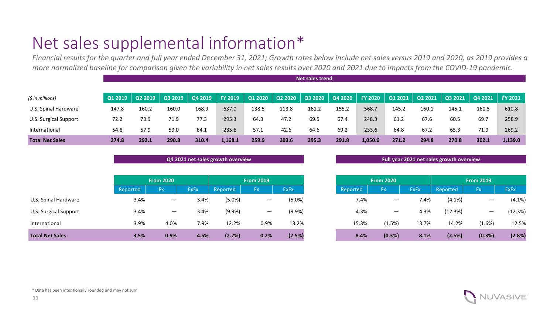### Net sales supplemental information\*

*Financial results for the quarter and full year ended December 31, 2021; Growth rates below include net sales versus 2019 and 2020, as 2019 provides a more normalized baseline for comparison given the variability in net sales results over 2020 and 2021 due to impacts from the COVID-19 pandemic.*

|                        |                | Net sales trend |         |         |                |         |         |         |         |                |         |         |       |                   |                |
|------------------------|----------------|-----------------|---------|---------|----------------|---------|---------|---------|---------|----------------|---------|---------|-------|-------------------|----------------|
|                        |                |                 |         |         |                |         |         |         |         |                |         |         |       |                   |                |
| (5 in millions)        | <b>Q1 2019</b> | Q2 2019         | Q3 2019 | Q4 2019 | <b>FY 2019</b> | Q1 2020 | Q2 2020 | Q3 2020 | Q4 2020 | <b>FY 2020</b> | Q1 2021 | Q2 2021 |       | $Q32021$ $Q42021$ | <b>FY 2021</b> |
| U.S. Spinal Hardware   | 147.8          | 160.2           | 160.0   | 168.9   | 637.0          | 138.5   | 113.8   | 161.2   | 155.2   | 568.7          | 145.2   | 160.1   | 145.1 | 160.5             | 610.8          |
| U.S. Surgical Support  | 72.2           | 73.9            | 71.9    | 77.3    | 295.3          | 64.3    | 47.2    | 69.5    | 67.4    | 248.3          | 61.2    | 67.6    | 60.5  | 69.7              | 258.9          |
| International          | 54.8           | 57.9            | 59.0    | 64.1    | 235.8          | 57.1    | 42.6    | 64.6    | 69.2    | 233.6          | 64.8    | 67.2    | 65.3  | 71.9              | 269.2          |
| <b>Total Net Sales</b> | 274.8          | 292.1           | 290.8   | 310.4   | 1,168.1        | 259.9   | 203.6   | 295.3   | 291.8   | 1,050.6        | 271.2   | 294.8   | 270.8 | 302.1             | 1,139.0        |

| Q4 2021 net sales growth overview |  |  |
|-----------------------------------|--|--|
|                                   |  |  |

|                        |          | <b>From 2020</b>         |             |           | <b>From 2019</b> |             | <b>From 2020</b><br><b>From 2019</b> |                          |             |           |                          |             |
|------------------------|----------|--------------------------|-------------|-----------|------------------|-------------|--------------------------------------|--------------------------|-------------|-----------|--------------------------|-------------|
|                        | Reported | Fx.                      | <b>ExFx</b> | Reported  | Fx               | <b>ExFx</b> | Reported                             | <b>Fx</b>                | <b>ExFx</b> | Reported  | <b>Fx</b>                | <b>ExFx</b> |
| U.S. Spinal Hardware   | 3.4%     | $\overline{\phantom{0}}$ | 3.4%        | $(5.0\%)$ |                  | $(5.0\%)$   | 7.4%                                 | $\overline{\phantom{0}}$ | 7.4%        | $(4.1\%)$ | $\overline{\phantom{m}}$ | (4.1%)      |
| U.S. Surgical Support  | 3.4%     | $\overline{\phantom{m}}$ | 3.4%        | $(9.9\%)$ | —                | (9.9%       | 4.3%                                 | $\overline{\phantom{m}}$ | 4.3%        | (12.3%)   | $\overline{\phantom{m}}$ | (12.3%)     |
| International          | 3.9%     | 4.0%                     | 7.9%        | 12.2%     | 0.9%             | 13.2%       | 15.3%                                | (1.5%)                   | 13.7%       | 14.2%     | (1.6%)                   | 12.5%       |
| <b>Total Net Sales</b> | 3.5%     | 0.9%                     | 4.5%        | (2.7%)    | 0.2%             | (2.5%)      | 8.4%                                 | (0.3%)                   | 8.1%        | (2.5%)    | (0.3%)                   | (2.8%)      |

#### **Q4 2021 net sales growth overview Full year 2021 net sales growth overview**

|          | <b>From 2020</b> |             | <b>From 2019</b> |           |             |  |  |  |
|----------|------------------|-------------|------------------|-----------|-------------|--|--|--|
| Reported | <b>Fx</b>        | <b>ExFx</b> | Reported         | <b>Fx</b> | <b>ExFx</b> |  |  |  |
| 7.4%     |                  | 7.4%        | $(4.1\%)$        |           | $(4.1\%)$   |  |  |  |
| 4.3%     |                  | 4.3%        | (12.3%)          |           | (12.3%)     |  |  |  |
| 15.3%    | (1.5%)           | 13.7%       | 14.2%            | (1.6%)    | 12.5%       |  |  |  |
| 8.4%     | (0.3%)           | 8.1%        | (2.5%)           | (0.3%)    | (2.8%)      |  |  |  |

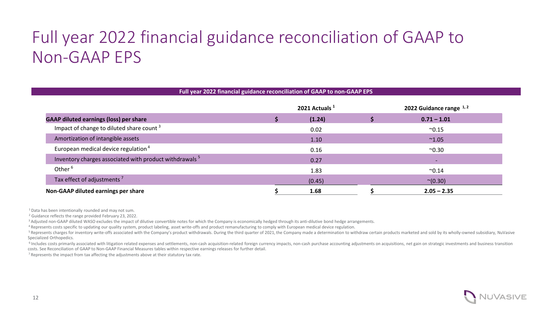### Full year 2022 financial guidance reconciliation of GAAP to Non-GAAP EPS

| Full year 2022 financial guidance reconciliation of GAAP to non-GAAP EPS |  |                  |  |                         |  |  |  |  |  |
|--------------------------------------------------------------------------|--|------------------|--|-------------------------|--|--|--|--|--|
|                                                                          |  | 2021 Actuals $1$ |  | 2022 Guidance range 1,2 |  |  |  |  |  |
| <b>GAAP diluted earnings (loss) per share</b>                            |  | (1.24)           |  | $0.71 - 1.01$           |  |  |  |  |  |
| Impact of change to diluted share count <sup>3</sup>                     |  | 0.02             |  | $^{\sim}0.15$           |  |  |  |  |  |
| Amortization of intangible assets                                        |  | 1.10             |  | $^{\sim}1.05$           |  |  |  |  |  |
| European medical device regulation <sup>4</sup>                          |  | 0.16             |  | $^{\sim}0.30$           |  |  |  |  |  |
| Inventory charges associated with product withdrawals <sup>5</sup>       |  | 0.27             |  |                         |  |  |  |  |  |
| Other <sup>6</sup>                                                       |  | 1.83             |  | $^{\sim}0.14$           |  |  |  |  |  |
| Tax effect of adjustments <sup>7</sup>                                   |  | (0.45)           |  | $^{\sim}(0.30)$         |  |  |  |  |  |
| Non-GAAP diluted earnings per share                                      |  | 1.68             |  | $2.05 - 2.35$           |  |  |  |  |  |

<sup>1</sup> Data has been intentionally rounded and may not sum.

<sup>2</sup> Guidance reflects the range provided February 23, 2022.

<sup>3</sup> Adjusted non-GAAP diluted WASO excludes the impact of dilutive convertible notes for which the Company is economically hedged through its anti-dilutive bond hedge arrangements.

4 Represents costs specific to updating our quality system, product labeling, asset write-offs and product remanufacturing to comply with European medical device regulation.

<sup>5</sup> Represents charges for inventory write-offs associated with the Company's product withdrawals. During the third quarter of 2021, the Company made a determination to withdraw certain products marketed and sold by its wh Specialized Orthopedics.

<sup>6</sup> Includes costs primarily associated with litigation related expenses and settlements, non-cash acquisition-related foreign currency impacts, non-cash purchase accounting adjustments on acquisitions, net gain on strateg costs. See Reconciliation of GAAP to Non-GAAP Financial Measures tables within respective earnings releases for further detail.

 $<sup>7</sup>$  Represents the impact from tax affecting the adjustments above at their statutory tax rate.</sup>

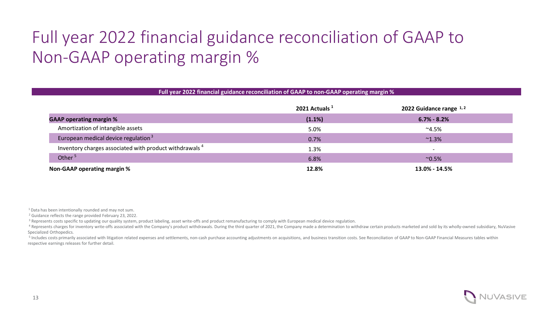## Full year 2022 financial guidance reconciliation of GAAP to Non-GAAP operating margin %

| Full year 2022 financial guidance reconciliation of GAAP to non-GAAP operating margin % |                           |                            |  |  |  |  |  |  |  |
|-----------------------------------------------------------------------------------------|---------------------------|----------------------------|--|--|--|--|--|--|--|
|                                                                                         | 2021 Actuals <sup>1</sup> | 2022 Guidance range $1, 2$ |  |  |  |  |  |  |  |
| <b>GAAP operating margin %</b>                                                          | (1.1%)                    | $6.7\% - 8.2\%$            |  |  |  |  |  |  |  |
| Amortization of intangible assets                                                       | 5.0%                      | $^{\sim}4.5\%$             |  |  |  |  |  |  |  |
| European medical device regulation <sup>3</sup>                                         | 0.7%                      | $^{\sim}1.3\%$             |  |  |  |  |  |  |  |
| Inventory charges associated with product withdrawals <sup>4</sup>                      | 1.3%                      |                            |  |  |  |  |  |  |  |
| Other <sup>5</sup>                                                                      | 6.8%                      | $^{\sim}0.5\%$             |  |  |  |  |  |  |  |
| Non-GAAP operating margin %                                                             | 12.8%                     | $13.0\% - 14.5\%$          |  |  |  |  |  |  |  |

<sup>1</sup> Data has been intentionally rounded and may not sum.

<sup>2</sup> Guidance reflects the range provided February 23, 2022.

<sup>3</sup> Represents costs specific to updating our quality system, product labeling, asset write-offs and product remanufacturing to comply with European medical device regulation.

4 Represents charges for inventory write-offs associated with the Company's product withdrawals. During the third quarter of 2021, the Company made a determination to withdraw certain products marketed and sold by its whol Specialized Orthopedics.

<sup>5</sup> Includes costs primarily associated with litigation related expenses and settlements, non-cash purchase accounting adjustments on acquisitions, and business transition costs. See Reconciliation of GAAP to Non-GAAP Fina respective earnings releases for further detail.